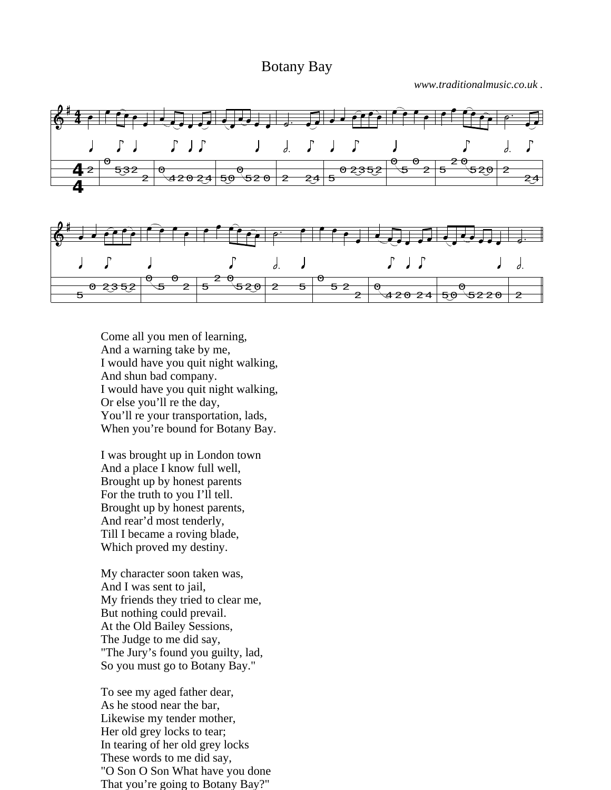## Botany Bay

*www.traditionalmusic.co.uk .*



Come all you men of learning, And a warning take by me, I would have you quit night walking, And shun bad company. I would have you quit night walking, Or else you'll re the day, You'll re your transportation, lads, When you're bound for Botany Bay.

I was brought up in London town And a place I know full well, Brought up by honest parents For the truth to you I'll tell. Brought up by honest parents, And rear'd most tenderly, Till I became a roving blade, Which proved my destiny.

My character soon taken was, And I was sent to jail, My friends they tried to clear me, But nothing could prevail. At the Old Bailey Sessions, The Judge to me did say, "The Jury's found you guilty, lad, So you must go to Botany Bay."

To see my aged father dear, As he stood near the bar, Likewise my tender mother, Her old grey locks to tear; In tearing of her old grey locks These words to me did say, "O Son O Son What have you done That you're going to Botany Bay?"